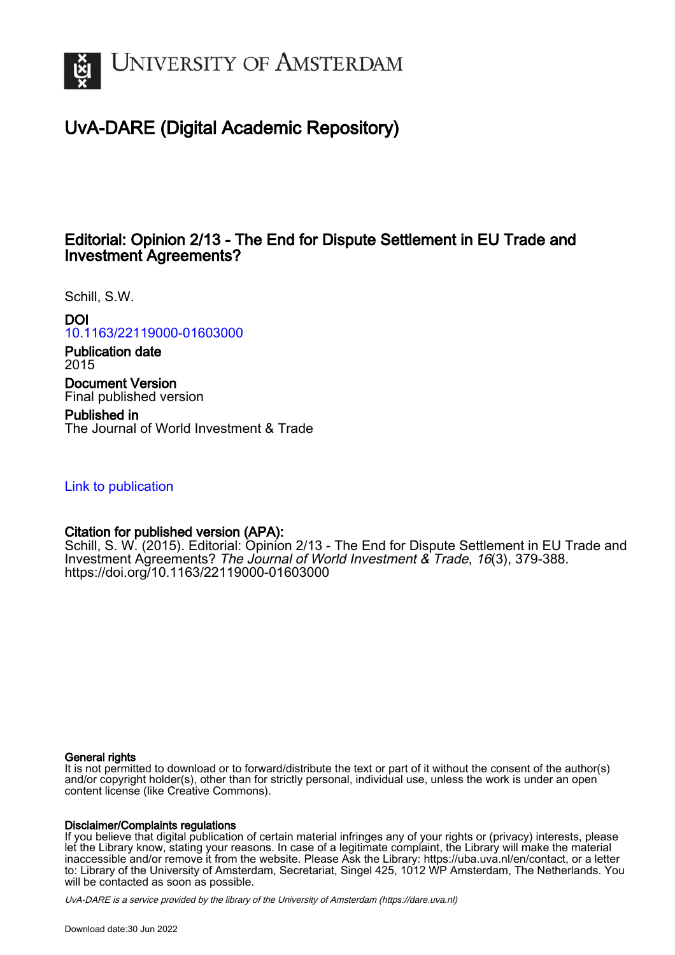

# UvA-DARE (Digital Academic Repository)

# Editorial: Opinion 2/13 - The End for Dispute Settlement in EU Trade and Investment Agreements?

Schill, S.W.

DOI

[10.1163/22119000-01603000](https://doi.org/10.1163/22119000-01603000)

Publication date 2015

Document Version Final published version

Published in The Journal of World Investment & Trade

[Link to publication](https://dare.uva.nl/personal/pure/en/publications/editorial-opinion-213--the-end-for-dispute-settlement-in-eu-trade-and-investment-agreements(09b23391-bec4-48a1-a6e3-0d1a22cb6eeb).html)

## Citation for published version (APA):

Schill, S. W. (2015). Editorial: Opinion 2/13 - The End for Dispute Settlement in EU Trade and Investment Agreements? The Journal of World Investment & Trade, 16(3), 379-388. <https://doi.org/10.1163/22119000-01603000>

### General rights

It is not permitted to download or to forward/distribute the text or part of it without the consent of the author(s) and/or copyright holder(s), other than for strictly personal, individual use, unless the work is under an open content license (like Creative Commons).

### Disclaimer/Complaints regulations

If you believe that digital publication of certain material infringes any of your rights or (privacy) interests, please let the Library know, stating your reasons. In case of a legitimate complaint, the Library will make the material inaccessible and/or remove it from the website. Please Ask the Library: https://uba.uva.nl/en/contact, or a letter to: Library of the University of Amsterdam, Secretariat, Singel 425, 1012 WP Amsterdam, The Netherlands. You will be contacted as soon as possible.

UvA-DARE is a service provided by the library of the University of Amsterdam (http*s*://dare.uva.nl)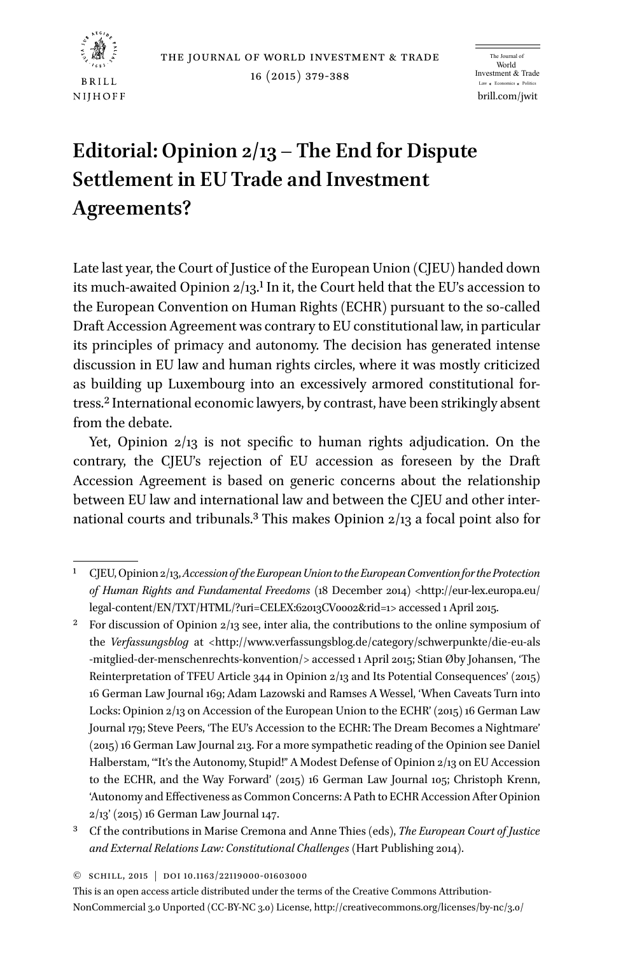



16 (2015) 379-388

brill.com/jwit The Journal of World Investment & Trade mics + Po

# **Editorial: Opinion 2/13 – The End for Dispute Settlement in EU Trade and Investment Agreements?**

Late last year, the Court of Justice of the European Union (CJEU) handed down its much-awaited Opinion  $2/13$ .<sup>1</sup> In it, the Court held that the EU's accession to the European Convention on Human Rights (ECHR) pursuant to the so-called Draft Accession Agreement was contrary to EU constitutional law, in particular its principles of primacy and autonomy. The decision has generated intense discussion in EU law and human rights circles, where it was mostly criticized as building up Luxembourg into an excessively armored constitutional fortress.2 International economic lawyers, by contrast, have been strikingly absent from the debate.

Yet, Opinion  $2/13$  is not specific to human rights adjudication. On the contrary, the CJEU's rejection of EU accession as foreseen by the Draft Accession Agreement is based on generic concerns about the relationship between EU law and international law and between the CJEU and other international courts and tribunals.<sup>3</sup> This makes Opinion  $2/13$  a focal point also for

<sup>1</sup> CJEU, Opinion 2/13, *Accession of the European Union to the European Convention for the Protection of Human Rights and Fundamental Freedoms* (18 December 2014) <[http://eur-lex.europa.eu/](http://eur-lex.europa.eu/legal-content/EN/TXT/HTML/?uri=CELEX:62013CV0002&rid=1) [legal-content/EN/TXT/HTML/?uri=CELEX:62013CV0002&rid=1>](http://eur-lex.europa.eu/legal-content/EN/TXT/HTML/?uri=CELEX:62013CV0002&rid=1) accessed 1 April 2015.

<sup>2</sup> For discussion of Opinion 2/13 see, inter alia, the contributions to the online symposium of the *Verfassungsblog* at [<http://www.verfassungsblog.de/category/schwerpunkte/die-eu-als](http://www.verfassungsblog.de/category/schwerpunkte/die-eu-als-mitglied-der-menschenrechts-konvention/) [-mitglied-der-menschenrechts-konvention/>](http://www.verfassungsblog.de/category/schwerpunkte/die-eu-als-mitglied-der-menschenrechts-konvention/) accessed 1 April 2015; Stian Øby Johansen, 'The Reinterpretation of TFEU Article 344 in Opinion 2/13 and Its Potential Consequences' (2015) 16 German Law Journal 169; Adam Lazowski and Ramses A Wessel, 'When Caveats Turn into Locks: Opinion 2/13 on Accession of the European Union to the ECHR' (2015) 16 German Law Journal 179; Steve Peers, 'The EU's Accession to the ECHR: The Dream Becomes a Nightmare' (2015) 16 German Law Journal 213. For a more sympathetic reading of the Opinion see Daniel Halberstam, "It's the Autonomy, Stupid!" A Modest Defense of Opinion 2/13 on EU Accession to the ECHR, and the Way Forward' (2015) 16 German Law Journal 105; Christoph Krenn, 'Autonomy and Effectiveness as Common Concerns: A Path to ECHR Accession After Opinion 2/13' (2015) 16 German Law Journal 147.

<sup>3</sup> Cf the contributions in Marise Cremona and Anne Thies (eds), *The European Court of Justice and External Relations Law: Constitutional Challenges* (Hart Publishing 2014).

 $©$  SCHILL, 2015 | DOI 10.1163/22119000-01603000

This is an open access article distributed under the terms of the Creative Commons Attribution-NonCommercial 3.0 Unported (CC-BY-NC 3.0) License,<http://creativecommons.org/licenses/by-nc/3.0/>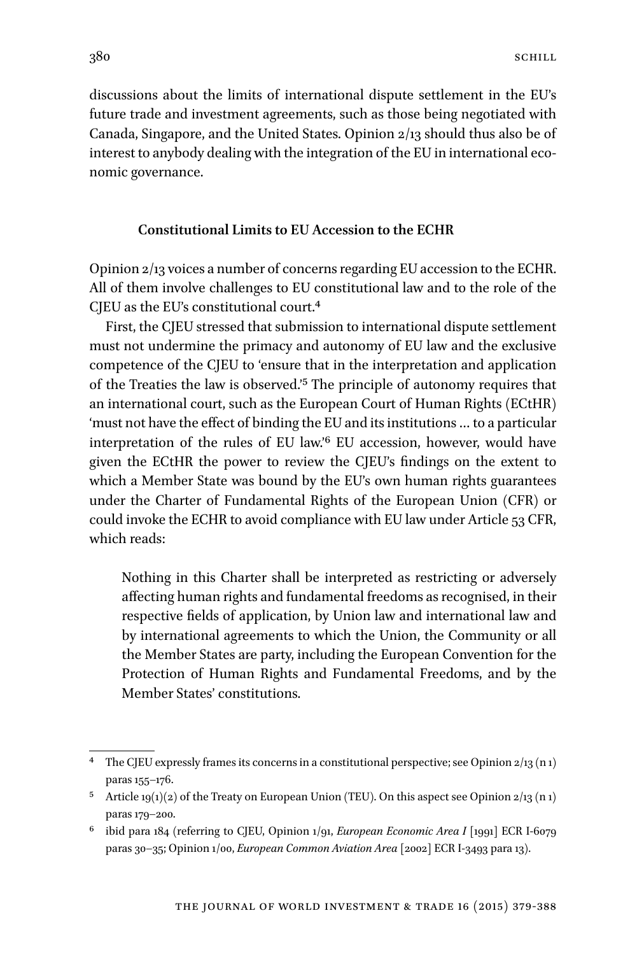discussions about the limits of international dispute settlement in the EU's future trade and investment agreements, such as those being negotiated with Canada, Singapore, and the United States. Opinion 2/13 should thus also be of interest to anybody dealing with the integration of the EU in international economic governance.

#### **Constitutional Limits to EU Accession to the ECHR**

Opinion 2/13 voices a number of concerns regarding EU accession to the ECHR. All of them involve challenges to EU constitutional law and to the role of the CJEU as the EU's constitutional court.4

First, the CJEU stressed that submission to international dispute settlement must not undermine the primacy and autonomy of EU law and the exclusive competence of the CJEU to 'ensure that in the interpretation and application of the Treaties the law is observed.'5 The principle of autonomy requires that an international court, such as the European Court of Human Rights (ECtHR) 'must not have the effect of binding the EU and its institutions … to a particular interpretation of the rules of EU law.'6 EU accession, however, would have given the ECtHR the power to review the CJEU's findings on the extent to which a Member State was bound by the EU's own human rights guarantees under the Charter of Fundamental Rights of the European Union (CFR) or could invoke the ECHR to avoid compliance with EU law under Article 53 CFR, which reads:

Nothing in this Charter shall be interpreted as restricting or adversely affecting human rights and fundamental freedoms as recognised, in their respective fields of application, by Union law and international law and by international agreements to which the Union, the Community or all the Member States are party, including the European Convention for the Protection of Human Rights and Fundamental Freedoms, and by the Member States' constitutions.

<sup>&</sup>lt;sup>4</sup> The CJEU expressly frames its concerns in a constitutional perspective; see Opinion  $2/13$  (n 1) paras 155–176.

<sup>&</sup>lt;sup>5</sup> Article 19(1)(2) of the Treaty on European Union (TEU). On this aspect see Opinion  $2/13$  (n 1) paras 179–200.

<sup>6</sup> ibid para 184 (referring to CJEU, Opinion 1/91, *European Economic Area I* [1991] ECR I-6079 paras 30–35; Opinion 1/00, *European Common Aviation Area* [2002] ECR I-3493 para 13).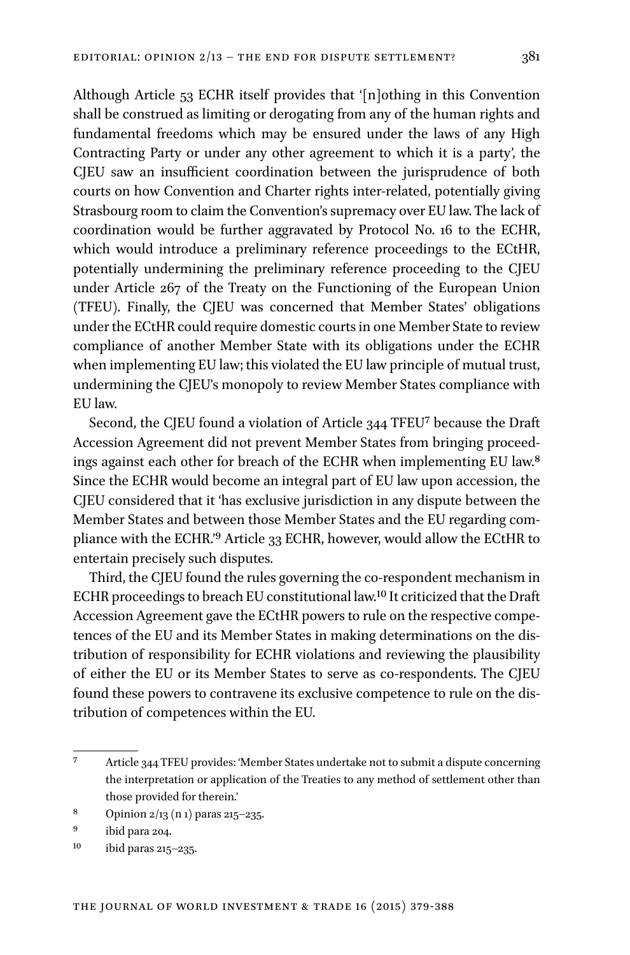Although Article 53 ECHR itself provides that '[n]othing in this Convention shall be construed as limiting or derogating from any of the human rights and fundamental freedoms which may be ensured under the laws of any High Contracting Party or under any other agreement to which it is a party', the CJEU saw an insufficient coordination between the jurisprudence of both courts on how Convention and Charter rights inter-related, potentially giving Strasbourg room to claim the Convention's supremacy over EU law. The lack of coordination would be further aggravated by Protocol No. 16 to the ECHR, which would introduce a preliminary reference proceedings to the ECtHR, potentially undermining the preliminary reference proceeding to the CJEU under Article 267 of the Treaty on the Functioning of the European Union (TFEU). Finally, the CJEU was concerned that Member States' obligations under the ECtHR could require domestic courts in one Member State to review compliance of another Member State with its obligations under the ECHR when implementing EU law; this violated the EU law principle of mutual trust, undermining the CJEU's monopoly to review Member States compliance with EU law.

Second, the CJEU found a violation of Article 344 TFEU7 because the Draft Accession Agreement did not prevent Member States from bringing proceedings against each other for breach of the ECHR when implementing EU law.8 Since the ECHR would become an integral part of EU law upon accession, the CJEU considered that it 'has exclusive jurisdiction in any dispute between the Member States and between those Member States and the EU regarding compliance with the ECHR.'9 Article 33 ECHR, however, would allow the ECtHR to entertain precisely such disputes.

Third, the CJEU found the rules governing the co-respondent mechanism in ECHR proceedings to breach EU constitutional law.10 It criticized that the Draft Accession Agreement gave the ECtHR powers to rule on the respective competences of the EU and its Member States in making determinations on the distribution of responsibility for ECHR violations and reviewing the plausibility of either the EU or its Member States to serve as co-respondents. The CJEU found these powers to contravene its exclusive competence to rule on the distribution of competences within the EU.

8 Opinion  $2/13$  (n 1) paras 215–235.

<sup>7</sup> Article 344 TFEU provides: 'Member States undertake not to submit a dispute concerning the interpretation or application of the Treaties to any method of settlement other than those provided for therein.'

<sup>9</sup> ibid para 204.

<sup>10</sup> ibid paras 215–235.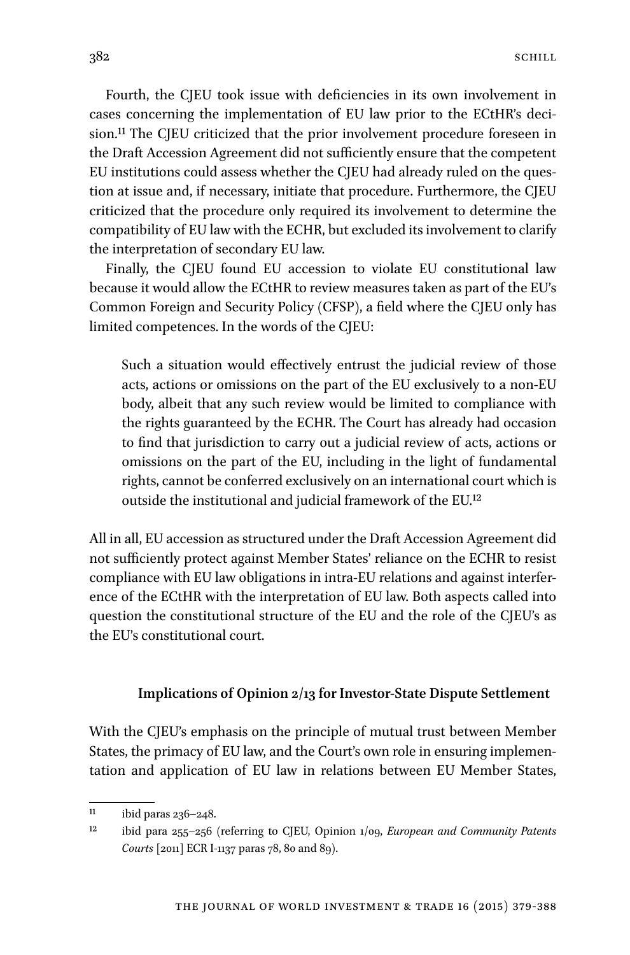Fourth, the CJEU took issue with deficiencies in its own involvement in cases concerning the implementation of EU law prior to the ECtHR's decision.<sup>11</sup> The CJEU criticized that the prior involvement procedure foreseen in the Draft Accession Agreement did not sufficiently ensure that the competent EU institutions could assess whether the CJEU had already ruled on the question at issue and, if necessary, initiate that procedure. Furthermore, the CJEU criticized that the procedure only required its involvement to determine the compatibility of EU law with the ECHR, but excluded its involvement to clarify the interpretation of secondary EU law.

Finally, the CJEU found EU accession to violate EU constitutional law because it would allow the ECtHR to review measures taken as part of the EU's Common Foreign and Security Policy (CFSP), a field where the CJEU only has limited competences. In the words of the CJEU:

Such a situation would effectively entrust the judicial review of those acts, actions or omissions on the part of the EU exclusively to a non-EU body, albeit that any such review would be limited to compliance with the rights guaranteed by the ECHR. The Court has already had occasion to find that jurisdiction to carry out a judicial review of acts, actions or omissions on the part of the EU, including in the light of fundamental rights, cannot be conferred exclusively on an international court which is outside the institutional and judicial framework of the EU.12

All in all, EU accession as structured under the Draft Accession Agreement did not sufficiently protect against Member States' reliance on the ECHR to resist compliance with EU law obligations in intra-EU relations and against interference of the ECtHR with the interpretation of EU law. Both aspects called into question the constitutional structure of the EU and the role of the CJEU's as the EU's constitutional court.

#### **Implications of Opinion 2/13 for Investor-State Dispute Settlement**

With the CJEU's emphasis on the principle of mutual trust between Member States, the primacy of EU law, and the Court's own role in ensuring implementation and application of EU law in relations between EU Member States,

 $11$  ibid paras 236–248.

<sup>12</sup> ibid para 255–256 (referring to CJEU, Opinion 1/09, *European and Community Patents Courts* [2011] ECR I-1137 paras 78, 80 and 89).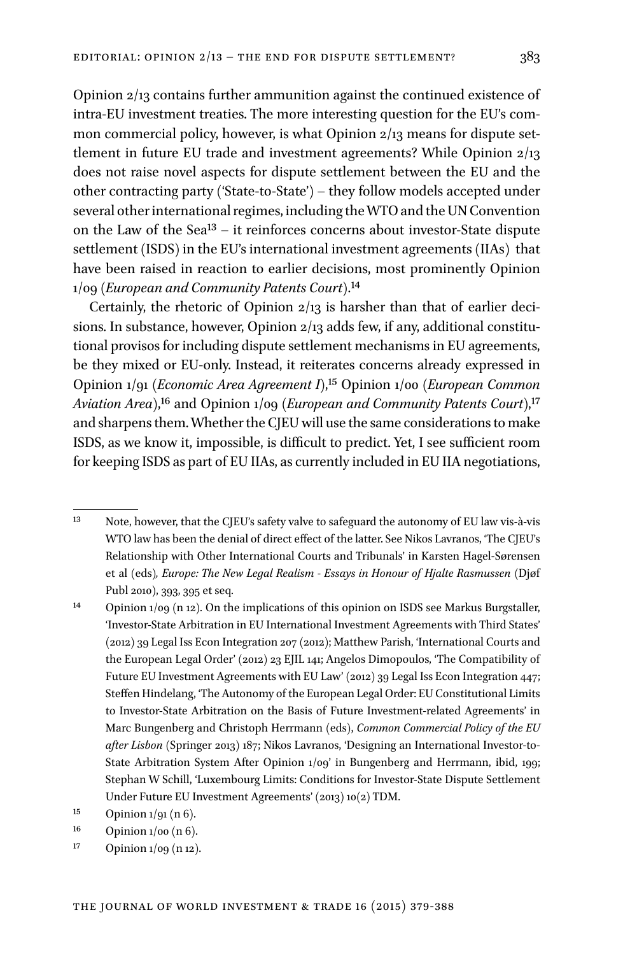Opinion 2/13 contains further ammunition against the continued existence of intra-EU investment treaties. The more interesting question for the EU's common commercial policy, however, is what Opinion 2/13 means for dispute settlement in future EU trade and investment agreements? While Opinion 2/13 does not raise novel aspects for dispute settlement between the EU and the other contracting party ('State-to-State') – they follow models accepted under several other international regimes, including the WTO and the UN Convention on the Law of the Sea<sup>13</sup> – it reinforces concerns about investor-State dispute settlement (ISDS) in the EU's international investment agreements (IIAs) that have been raised in reaction to earlier decisions, most prominently Opinion 1/09 (*European and Community Patents Court*).14

Certainly, the rhetoric of Opinion 2/13 is harsher than that of earlier decisions. In substance, however, Opinion 2/13 adds few, if any, additional constitutional provisos for including dispute settlement mechanisms in EU agreements, be they mixed or EU-only. Instead, it reiterates concerns already expressed in Opinion 1/91 (*Economic Area Agreement I*),15 Opinion 1/00 (*European Common Aviation Area*),16 and Opinion 1/09 (*European and Community Patents Court*),17 and sharpens them. Whether the CJEU will use the same considerations to make ISDS, as we know it, impossible, is difficult to predict. Yet, I see sufficient room for keeping ISDS as part of EU IIAs, as currently included in EU IIA negotiations,

<sup>&</sup>lt;sup>13</sup> Note, however, that the CJEU's safety valve to safeguard the autonomy of EU law vis-à-vis WTO law has been the denial of direct effect of the latter. See Nikos Lavranos, 'The CJEU's Relationship with Other International Courts and Tribunals' in Karsten Hagel-Sørensen et al (eds)*, Europe: The New Legal Realism - Essays in Honour of Hjalte Rasmussen* (Djøf Publ 2010), 393, 395 et seq.

<sup>&</sup>lt;sup>14</sup> Opinion 1/09 (n 12). On the implications of this opinion on ISDS see Markus Burgstaller, 'Investor-State Arbitration in EU International Investment Agreements with Third States' (2012) 39 Legal Iss Econ Integration 207 (2012); Matthew Parish, 'International Courts and the European Legal Order' (2012) 23 EJIL 141; Angelos Dimopoulos, 'The Compatibility of Future EU Investment Agreements with EU Law' (2012) 39 Legal Iss Econ Integration 447; Steffen Hindelang, 'The Autonomy of the European Legal Order: EU Constitutional Limits to Investor-State Arbitration on the Basis of Future Investment-related Agreements' in Marc Bungenberg and Christoph Herrmann (eds), *Common Commercial Policy of the EU after Lisbon* (Springer 2013) 187; Nikos Lavranos, 'Designing an International Investor-to-State Arbitration System After Opinion 1/09' in Bungenberg and Herrmann, ibid, 199; Stephan W Schill, 'Luxembourg Limits: Conditions for Investor-State Dispute Settlement Under Future EU Investment Agreements' (2013) 10(2) TDM.

 $15$  Opinion  $1/g1 (n 6)$ .

 $16$  Opinion  $1/00$  (n 6).

 $17 \quad \text{Option } 1/\text{og (n 12)}.$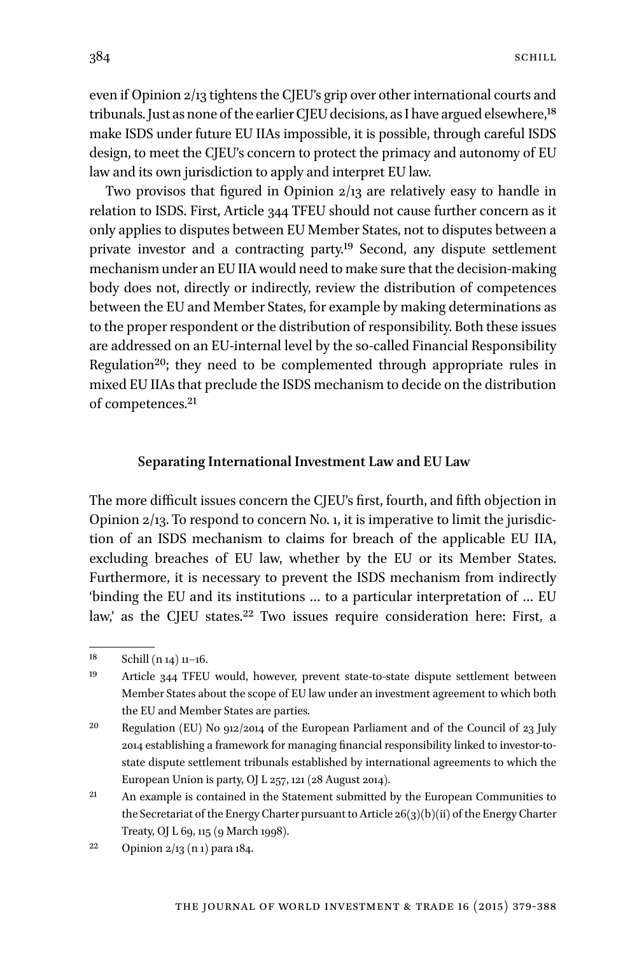even if Opinion 2/13 tightens the CJEU's grip over other international courts and tribunals. Just as none of the earlier CJEU decisions, as I have argued elsewhere,<sup>18</sup> make ISDS under future EU IIAs impossible, it is possible, through careful ISDS design, to meet the CJEU's concern to protect the primacy and autonomy of EU law and its own jurisdiction to apply and interpret EU law.

Two provisos that figured in Opinion 2/13 are relatively easy to handle in relation to ISDS. First, Article 344 TFEU should not cause further concern as it only applies to disputes between EU Member States, not to disputes between a private investor and a contracting party.19 Second, any dispute settlement mechanism under an EU IIA would need to make sure that the decision-making body does not, directly or indirectly, review the distribution of competences between the EU and Member States, for example by making determinations as to the proper respondent or the distribution of responsibility. Both these issues are addressed on an EU-internal level by the so-called Financial Responsibility Regulation<sup>20</sup>; they need to be complemented through appropriate rules in mixed EU IIAs that preclude the ISDS mechanism to decide on the distribution of competences.21

#### **Separating International Investment Law and EU Law**

The more difficult issues concern the CJEU's first, fourth, and fifth objection in Opinion 2/13. To respond to concern No. 1, it is imperative to limit the jurisdiction of an ISDS mechanism to claims for breach of the applicable EU IIA, excluding breaches of EU law, whether by the EU or its Member States. Furthermore, it is necessary to prevent the ISDS mechanism from indirectly 'binding the EU and its institutions … to a particular interpretation of … EU law,' as the CJEU states.<sup>22</sup> Two issues require consideration here: First, a

<sup>18</sup> Schill (n 14) 11–16.

<sup>19</sup> Article 344 TFEU would, however, prevent state-to-state dispute settlement between Member States about the scope of EU law under an investment agreement to which both the EU and Member States are parties.

<sup>20</sup> Regulation (EU) No 912/2014 of the European Parliament and of the Council of 23 July 2014 establishing a framework for managing financial responsibility linked to investor-tostate dispute settlement tribunals established by international agreements to which the European Union is party, OJ L 257, 121 (28 August 2014).

<sup>&</sup>lt;sup>21</sup> An example is contained in the Statement submitted by the European Communities to the Secretariat of the Energy Charter pursuant to Article 26(3)(b)(ii) of the Energy Charter Treaty, OJ L 69, 115 (9 March 1998).

 $2^2$  Opinion  $2/13$  (n 1) para 184.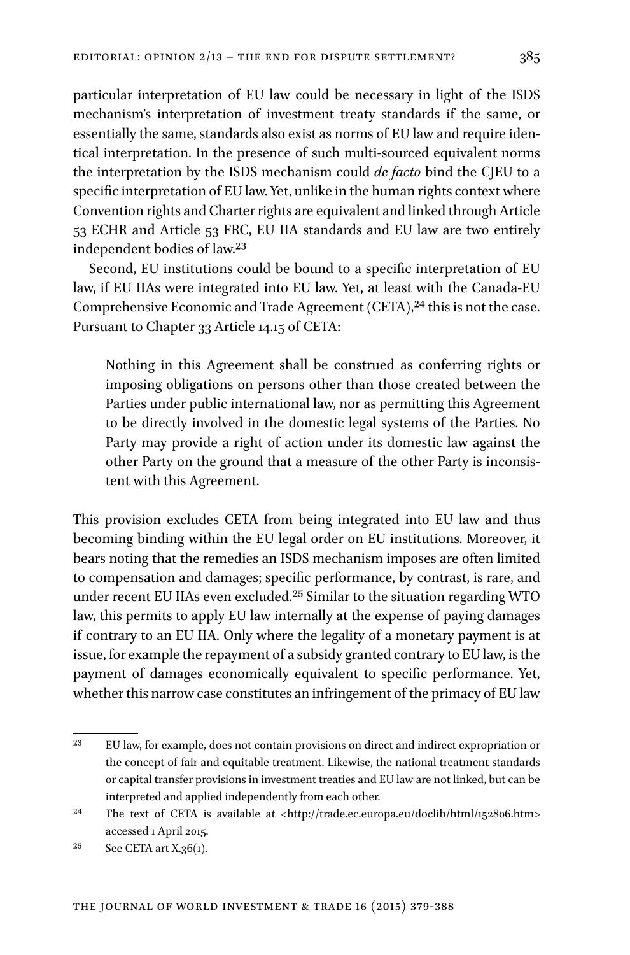particular interpretation of EU law could be necessary in light of the ISDS mechanism's interpretation of investment treaty standards if the same, or essentially the same, standards also exist as norms of EU law and require identical interpretation. In the presence of such multi-sourced equivalent norms the interpretation by the ISDS mechanism could *de facto* bind the CJEU to a specific interpretation of EU law. Yet, unlike in the human rights context where Convention rights and Charter rights are equivalent and linked through Article 53 ECHR and Article 53 FRC, EU IIA standards and EU law are two entirely independent bodies of law.23

Second, EU institutions could be bound to a specific interpretation of EU law, if EU IIAs were integrated into EU law. Yet, at least with the Canada-EU Comprehensive Economic and Trade Agreement (CETA),<sup>24</sup> this is not the case. Pursuant to Chapter 33 Article 14.15 of CETA:

Nothing in this Agreement shall be construed as conferring rights or imposing obligations on persons other than those created between the Parties under public international law, nor as permitting this Agreement to be directly involved in the domestic legal systems of the Parties. No Party may provide a right of action under its domestic law against the other Party on the ground that a measure of the other Party is inconsistent with this Agreement.

This provision excludes CETA from being integrated into EU law and thus becoming binding within the EU legal order on EU institutions. Moreover, it bears noting that the remedies an ISDS mechanism imposes are often limited to compensation and damages; specific performance, by contrast, is rare, and under recent EU IIAs even excluded.25 Similar to the situation regarding WTO law, this permits to apply EU law internally at the expense of paying damages if contrary to an EU IIA. Only where the legality of a monetary payment is at issue, for example the repayment of a subsidy granted contrary to EU law, is the payment of damages economically equivalent to specific performance. Yet, whether this narrow case constitutes an infringement of the primacy of EU law

<sup>&</sup>lt;sup>23</sup> EU law, for example, does not contain provisions on direct and indirect expropriation or the concept of fair and equitable treatment. Likewise, the national treatment standards or capital transfer provisions in investment treaties and EU law are not linked, but can be interpreted and applied independently from each other.

<sup>&</sup>lt;sup>24</sup> The text of CETA is available at [<http://trade.ec.europa.eu/doclib/html/152806.htm>](http://trade.ec.europa.eu/doclib/html/152806.htm) accessed 1 April 2015.

<sup>&</sup>lt;sup>25</sup> See CETA art  $X,36(1)$ .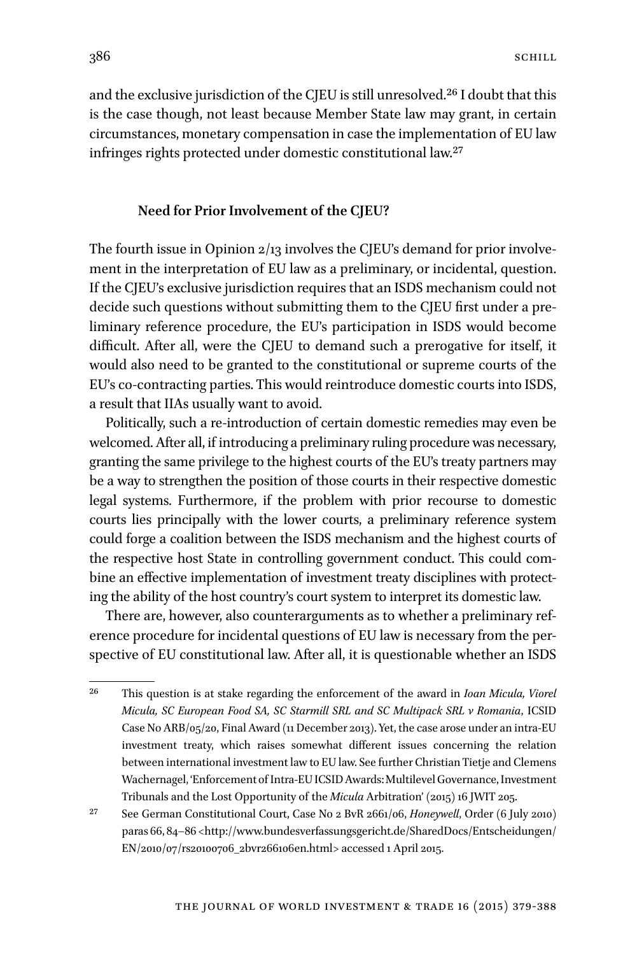and the exclusive jurisdiction of the CJEU is still unresolved.26 I doubt that this is the case though, not least because Member State law may grant, in certain circumstances, monetary compensation in case the implementation of EU law infringes rights protected under domestic constitutional law.27

#### **Need for Prior Involvement of the CJEU?**

The fourth issue in Opinion 2/13 involves the CJEU's demand for prior involvement in the interpretation of EU law as a preliminary, or incidental, question. If the CJEU's exclusive jurisdiction requires that an ISDS mechanism could not decide such questions without submitting them to the CJEU first under a preliminary reference procedure, the EU's participation in ISDS would become difficult. After all, were the CJEU to demand such a prerogative for itself, it would also need to be granted to the constitutional or supreme courts of the EU's co-contracting parties. This would reintroduce domestic courts into ISDS, a result that IIAs usually want to avoid.

Politically, such a re-introduction of certain domestic remedies may even be welcomed. After all, if introducing a preliminary ruling procedure was necessary, granting the same privilege to the highest courts of the EU's treaty partners may be a way to strengthen the position of those courts in their respective domestic legal systems. Furthermore, if the problem with prior recourse to domestic courts lies principally with the lower courts, a preliminary reference system could forge a coalition between the ISDS mechanism and the highest courts of the respective host State in controlling government conduct. This could combine an effective implementation of investment treaty disciplines with protecting the ability of the host country's court system to interpret its domestic law.

There are, however, also counterarguments as to whether a preliminary reference procedure for incidental questions of EU law is necessary from the perspective of EU constitutional law. After all, it is questionable whether an ISDS

<sup>26</sup> This question is at stake regarding the enforcement of the award in *Ioan Micula, Viorel Micula, SC European Food SA, SC Starmill SRL and SC Multipack SRL v Romania*, ICSID Case No ARB/05/20, Final Award (11 December 2013). Yet, the case arose under an intra-EU investment treaty, which raises somewhat different issues concerning the relation between international investment law to EU law. See further Christian Tietje and Clemens Wachernagel, 'Enforcement of Intra-EU ICSID Awards: Multilevel Governance, Investment Tribunals and the Lost Opportunity of the *Micula* Arbitration' (2015) 16 JWIT 205.

<sup>27</sup> See German Constitutional Court, Case No 2 BvR 2661/06, *Honeywell*, Order (6 July 2010) paras 66, 84–86 <[http://www.bundesverfassungsgericht.de/SharedDocs/Entscheidungen/](http://www.bundesverfassungsgericht.de/SharedDocs/Entscheidungen/EN/2010/07/rs20100706_2bvr266106en.html) [EN/2010/07/rs20100706\\_2bvr266106en.html>](http://www.bundesverfassungsgericht.de/SharedDocs/Entscheidungen/EN/2010/07/rs20100706_2bvr266106en.html) accessed 1 April 2015.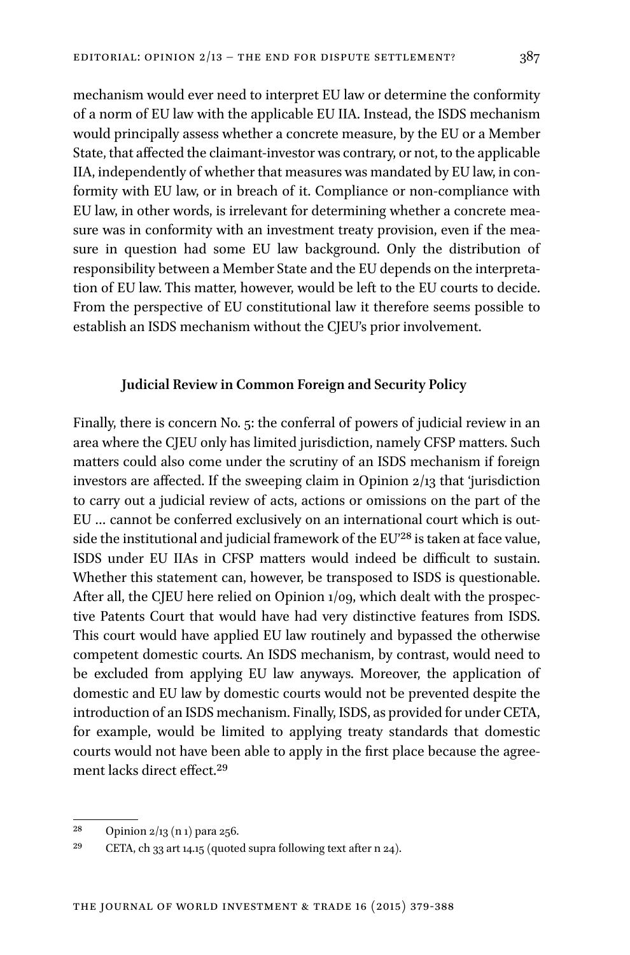mechanism would ever need to interpret EU law or determine the conformity of a norm of EU law with the applicable EU IIA. Instead, the ISDS mechanism would principally assess whether a concrete measure, by the EU or a Member State, that affected the claimant-investor was contrary, or not, to the applicable IIA, independently of whether that measures was mandated by EU law, in conformity with EU law, or in breach of it. Compliance or non-compliance with EU law, in other words, is irrelevant for determining whether a concrete measure was in conformity with an investment treaty provision, even if the measure in question had some EU law background. Only the distribution of responsibility between a Member State and the EU depends on the interpretation of EU law. This matter, however, would be left to the EU courts to decide. From the perspective of EU constitutional law it therefore seems possible to

## **Judicial Review in Common Foreign and Security Policy**

establish an ISDS mechanism without the CJEU's prior involvement.

Finally, there is concern No. 5: the conferral of powers of judicial review in an area where the CJEU only has limited jurisdiction, namely CFSP matters. Such matters could also come under the scrutiny of an ISDS mechanism if foreign investors are affected. If the sweeping claim in Opinion 2/13 that 'jurisdiction to carry out a judicial review of acts, actions or omissions on the part of the EU … cannot be conferred exclusively on an international court which is outside the institutional and judicial framework of the EU'28 is taken at face value, ISDS under EU IIAs in CFSP matters would indeed be difficult to sustain. Whether this statement can, however, be transposed to ISDS is questionable. After all, the CJEU here relied on Opinion 1/09, which dealt with the prospective Patents Court that would have had very distinctive features from ISDS. This court would have applied EU law routinely and bypassed the otherwise competent domestic courts. An ISDS mechanism, by contrast, would need to be excluded from applying EU law anyways. Moreover, the application of domestic and EU law by domestic courts would not be prevented despite the introduction of an ISDS mechanism. Finally, ISDS, as provided for under CETA, for example, would be limited to applying treaty standards that domestic courts would not have been able to apply in the first place because the agreement lacks direct effect.29

<sup>28</sup> Opinion  $2/13$  (n 1) para 256.

<sup>&</sup>lt;sup>29</sup> CETA, ch 33 art 14.15 (quoted supra following text after n 24).